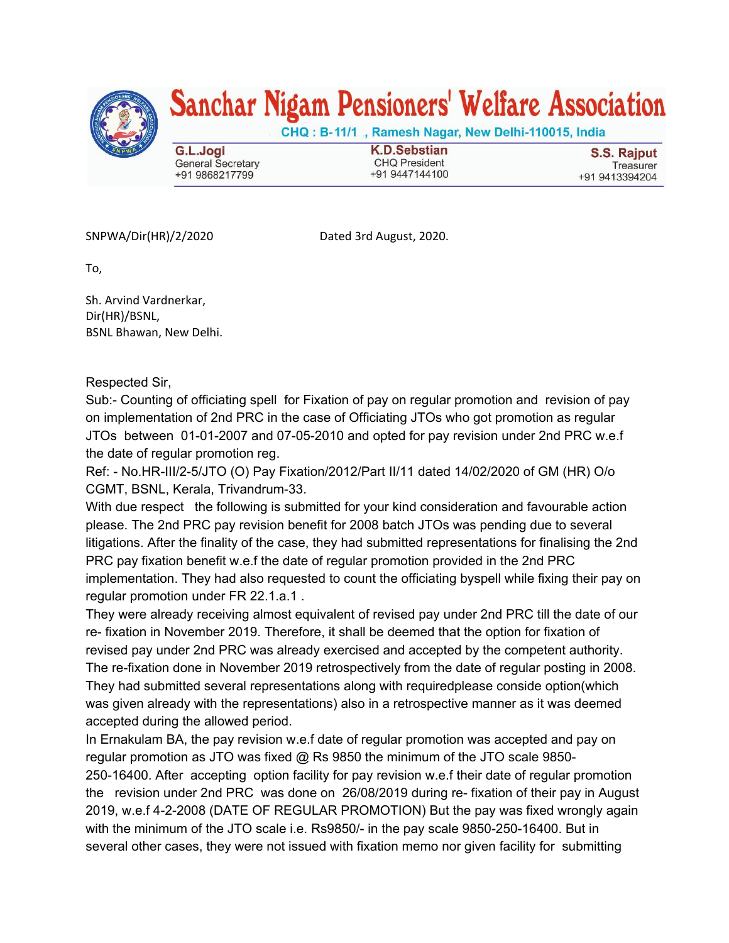

## Sanchar Nigam Pensioners' Welfare Association

CHQ: B-11/1, Ramesh Nagar, New Delhi-110015, India

G.L.Jogi **General Secretary** +91 9868217799

**K.D.Sebstian CHQ President** +91 9447144100

S.S. Rajput Treasurer +91 9413394204

SNPWA/Dir(HR)/2/2020 Dated 3rd August, 2020.

To,

Sh. Arvind Vardnerkar, Dir(HR)/BSNL, BSNL Bhawan, New Delhi.

Respected Sir,

Sub:- Counting of officiating spell for Fixation of pay on regular promotion and revision of pay on implementation of 2nd PRC in the case of Officiating JTOs who got promotion as regular JTOs between 01-01-2007 and 07-05-2010 and opted for pay revision under 2nd PRC w.e.f the date of regular promotion reg.

Ref: - No.HR-III/2-5/JTO (O) Pay Fixation/2012/Part II/11 dated 14/02/2020 of GM (HR) O/o CGMT, BSNL, Kerala, Trivandrum-33.

With due respect the following is submitted for your kind consideration and favourable action please. The 2nd PRC pay revision benefit for 2008 batch JTOs was pending due to several litigations. After the finality of the case, they had submitted representations for finalising the 2nd PRC pay fixation benefit w.e.f the date of regular promotion provided in the 2nd PRC implementation. They had also requested to count the officiating byspell while fixing their pay on regular promotion under FR 22.1.a.1 .

They were already receiving almost equivalent of revised pay under 2nd PRC till the date of our re- fixation in November 2019. Therefore, it shall be deemed that the option for fixation of revised pay under 2nd PRC was already exercised and accepted by the competent authority. The re-fixation done in November 2019 retrospectively from the date of regular posting in 2008. They had submitted several representations along with requiredplease conside option(which was given already with the representations) also in a retrospective manner as it was deemed accepted during the allowed period.

In Ernakulam BA, the pay revision w.e.f date of regular promotion was accepted and pay on regular promotion as JTO was fixed @ Rs 9850 the minimum of the JTO scale 9850- 250-16400. After accepting option facility for pay revision w.e.f their date of regular promotion the revision under 2nd PRC was done on 26/08/2019 during re- fixation of their pay in August 2019, w.e.f 4-2-2008 (DATE OF REGULAR PROMOTION) But the pay was fixed wrongly again with the minimum of the JTO scale i.e. Rs9850/- in the pay scale 9850-250-16400. But in several other cases, they were not issued with fixation memo nor given facility for submitting